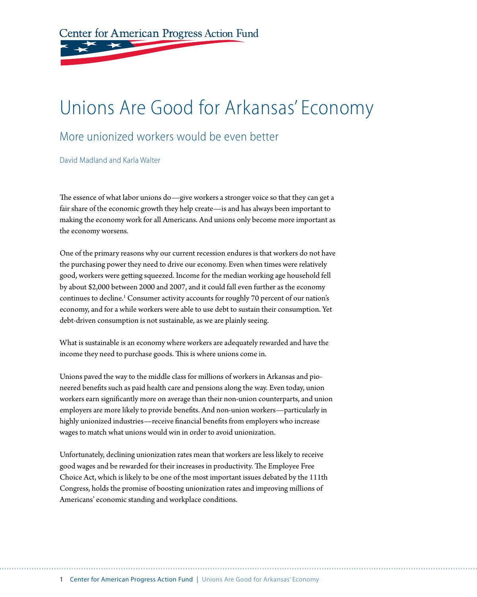Center for American Progress Action Fund

# Unions Are Good for Arkansas' Economy

#### More unionized workers would be even better

David Madland and Karla Walter

The essence of what labor unions do—give workers a stronger voice so that they can get a fair share of the economic growth they help create—is and has always been important to making the economy work for all Americans. And unions only become more important as the economy worsens.

One of the primary reasons why our current recession endures is that workers do not have the purchasing power they need to drive our economy. Even when times were relatively good, workers were getting squeezed. Income for the median working age household fell by about \$2,000 between 2000 and 2007, and it could fall even further as the economy continues to decline.<sup>1</sup> Consumer activity accounts for roughly 70 percent of our nation's economy, and for a while workers were able to use debt to sustain their consumption. Yet debt-driven consumption is not sustainable, as we are plainly seeing.

What is sustainable is an economy where workers are adequately rewarded and have the income they need to purchase goods. This is where unions come in.

Unions paved the way to the middle class for millions of workers in Arkansas and pioneered benefits such as paid health care and pensions along the way. Even today, union workers earn significantly more on average than their non-union counterparts, and union employers are more likely to provide benefits. And non-union workers—particularly in highly unionized industries—receive financial benefits from employers who increase wages to match what unions would win in order to avoid unionization.

Unfortunately, declining unionization rates mean that workers are less likely to receive good wages and be rewarded for their increases in productivity. The Employee Free Choice Act, which is likely to be one of the most important issues debated by the 111th Congress, holds the promise of boosting unionization rates and improving millions of Americans' economic standing and workplace conditions.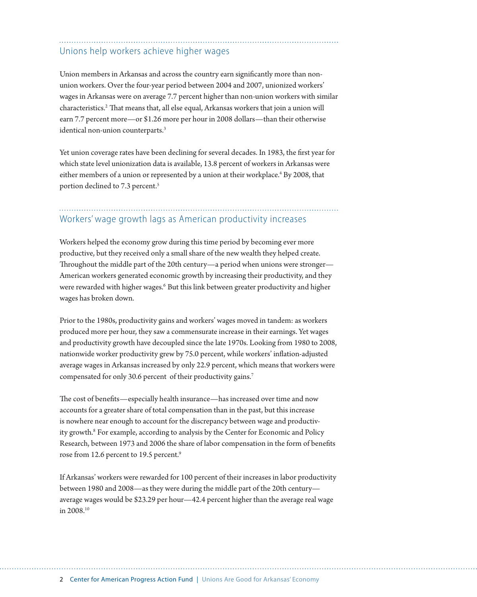#### Unions help workers achieve higher wages

Union members in Arkansas and across the country earn significantly more than nonunion workers. Over the four-year period between 2004 and 2007, unionized workers' wages in Arkansas were on average 7.7 percent higher than non-union workers with similar characteristics.2 That means that, all else equal, Arkansas workers that join a union will earn 7.7 percent more—or \$1.26 more per hour in 2008 dollars—than their otherwise identical non-union counterparts.3

Yet union coverage rates have been declining for several decades. In 1983, the first year for which state level unionization data is available, 13.8 percent of workers in Arkansas were either members of a union or represented by a union at their workplace.<sup>4</sup> By 2008, that portion declined to 7.3 percent.<sup>5</sup>

### Workers' wage growth lags as American productivity increases

Workers helped the economy grow during this time period by becoming ever more productive, but they received only a small share of the new wealth they helped create. Throughout the middle part of the 20th century—a period when unions were stronger— American workers generated economic growth by increasing their productivity, and they were rewarded with higher wages.<sup>6</sup> But this link between greater productivity and higher wages has broken down.

Prior to the 1980s, productivity gains and workers' wages moved in tandem: as workers produced more per hour, they saw a commensurate increase in their earnings. Yet wages and productivity growth have decoupled since the late 1970s. Looking from 1980 to 2008, nationwide worker productivity grew by 75.0 percent, while workers' inflation-adjusted average wages in Arkansas increased by only 22.9 percent, which means that workers were compensated for only 30.6 percent of their productivity gains.<sup>7</sup>

The cost of benefits—especially health insurance—has increased over time and now accounts for a greater share of total compensation than in the past, but this increase is nowhere near enough to account for the discrepancy between wage and productivity growth.<sup>8</sup> For example, according to analysis by the Center for Economic and Policy Research, between 1973 and 2006 the share of labor compensation in the form of benefits rose from 12.6 percent to 19.5 percent.<sup>9</sup>

If Arkansas' workers were rewarded for 100 percent of their increases in labor productivity between 1980 and 2008—as they were during the middle part of the 20th century average wages would be \$23.29 per hour—42.4 percent higher than the average real wage in 2008.10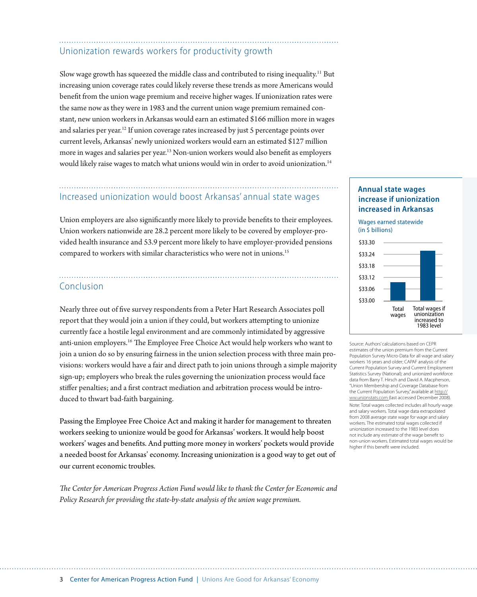### Unionization rewards workers for productivity growth

Slow wage growth has squeezed the middle class and contributed to rising inequality.11 But increasing union coverage rates could likely reverse these trends as more Americans would benefit from the union wage premium and receive higher wages. If unionization rates were the same now as they were in 1983 and the current union wage premium remained constant, new union workers in Arkansas would earn an estimated \$166 million more in wages and salaries per year.<sup>12</sup> If union coverage rates increased by just 5 percentage points over current levels, Arkansas' newly unionized workers would earn an estimated \$127 million more in wages and salaries per year.13 Non-union workers would also benefit as employers would likely raise wages to match what unions would win in order to avoid unionization.14

## Increased unionization would boost Arkansas' annual state wages

Union employers are also significantly more likely to provide benefits to their employees. Union workers nationwide are 28.2 percent more likely to be covered by employer-provided health insurance and 53.9 percent more likely to have employer-provided pensions compared to workers with similar characteristics who were not in unions.<sup>15</sup>

#### Conclusion

Nearly three out of five survey respondents from a Peter Hart Research Associates poll report that they would join a union if they could, but workers attempting to unionize currently face a hostile legal environment and are commonly intimidated by aggressive anti-union employers.16 The Employee Free Choice Act would help workers who want to join a union do so by ensuring fairness in the union selection process with three main provisions: workers would have a fair and direct path to join unions through a simple majority sign-up; employers who break the rules governing the unionization process would face stiffer penalties; and a first contract mediation and arbitration process would be introduced to thwart bad-faith bargaining.

Passing the Employee Free Choice Act and making it harder for management to threaten workers seeking to unionize would be good for Arkansas' workers. It would help boost workers' wages and benefits. And putting more money in workers' pockets would provide a needed boost for Arkansas' economy. Increasing unionization is a good way to get out of our current economic troubles.

*The Center for American Progress Action Fund would like to thank the Center for Economic and Policy Research for providing the state-by-state analysis of the union wage premium.* 

#### **Annual state wages increase if unionization increased in Arkansas**

Wages earned statewide (in \$ billions)



Source: Authors' calculations based on CEPR estimates of the union premium from the Current Population Survey Micro-Data for all wage and salary workers 16 years and older; CAPAF analysis of the Current Population Survey and Current Employment Statistics Survey (National); and unionized workforce data from Barry T. Hirsch and David A. Macpherson, "Union Membership and Coverage Database from the Current Population Survey," available at http:// ww.unionstats.com (last accessed December 2008). Note: Total wages collected includes all hourly wage

and salary workers. Total wage data extrapolated from 2008 average state wage for wage and salary workers. The estimated total wages collected if unionization increased to the 1983 level does not include any estimate of the wage benefit to non-union workers. Estimated total wages would be higher if this benefit were included.